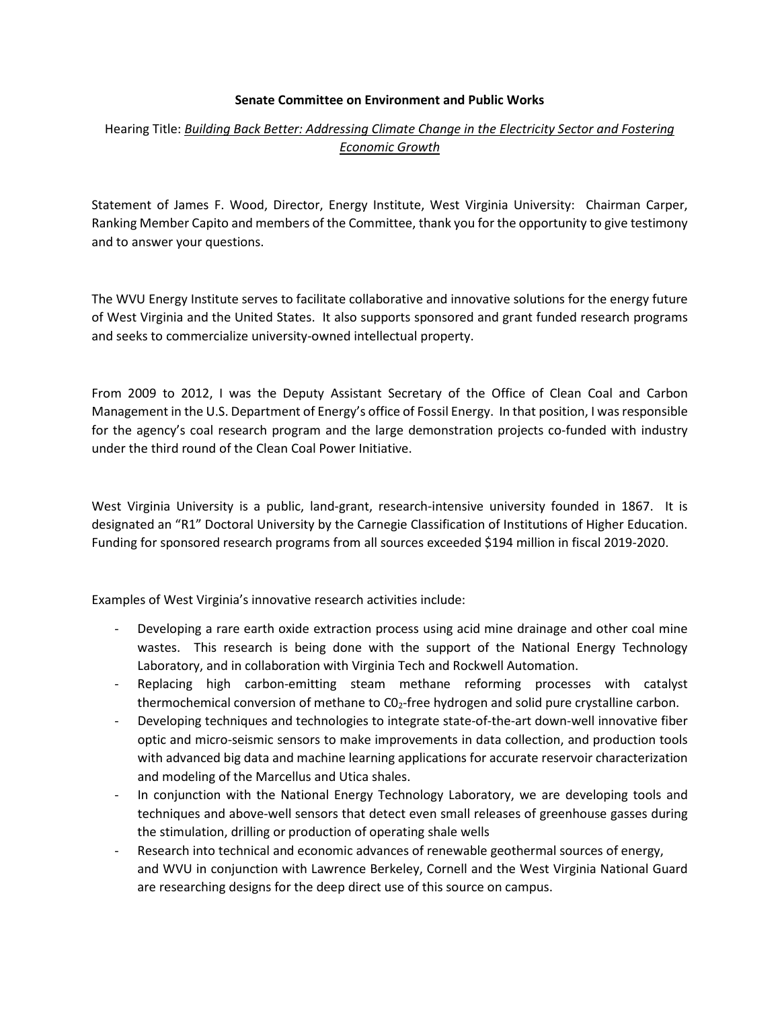## **Senate Committee on Environment and Public Works**

## Hearing Title: *Building Back Better: Addressing Climate Change in the Electricity Sector and Fostering Economic Growth*

Statement of James F. Wood, Director, Energy Institute, West Virginia University: Chairman Carper, Ranking Member Capito and members of the Committee, thank you for the opportunity to give testimony and to answer your questions.

The WVU Energy Institute serves to facilitate collaborative and innovative solutions for the energy future of West Virginia and the United States. It also supports sponsored and grant funded research programs and seeks to commercialize university-owned intellectual property.

From 2009 to 2012, I was the Deputy Assistant Secretary of the Office of Clean Coal and Carbon Management in the U.S. Department of Energy's office of Fossil Energy. In that position, I was responsible for the agency's coal research program and the large demonstration projects co-funded with industry under the third round of the Clean Coal Power Initiative.

West Virginia University is a public, land-grant, research-intensive university founded in 1867. It is designated an "R1" Doctoral University by the Carnegie Classification of Institutions of Higher Education. Funding for sponsored research programs from all sources exceeded \$194 million in fiscal 2019-2020.

Examples of West Virginia's innovative research activities include:

- Developing a rare earth oxide extraction process using acid mine drainage and other coal mine wastes. This research is being done with the support of the National Energy Technology Laboratory, and in collaboration with Virginia Tech and Rockwell Automation.
- Replacing high carbon-emitting steam methane reforming processes with catalyst thermochemical conversion of methane to C02-free hydrogen and solid pure crystalline carbon.
- Developing techniques and technologies to integrate state-of-the-art down-well innovative fiber optic and micro-seismic sensors to make improvements in data collection, and production tools with advanced big data and machine learning applications for accurate reservoir characterization and modeling of the Marcellus and Utica shales.
- In conjunction with the National Energy Technology Laboratory, we are developing tools and techniques and above-well sensors that detect even small releases of greenhouse gasses during the stimulation, drilling or production of operating shale wells
- Research into technical and economic advances of renewable geothermal sources of energy, and WVU in conjunction with Lawrence Berkeley, Cornell and the West Virginia National Guard are researching designs for the deep direct use of this source on campus.